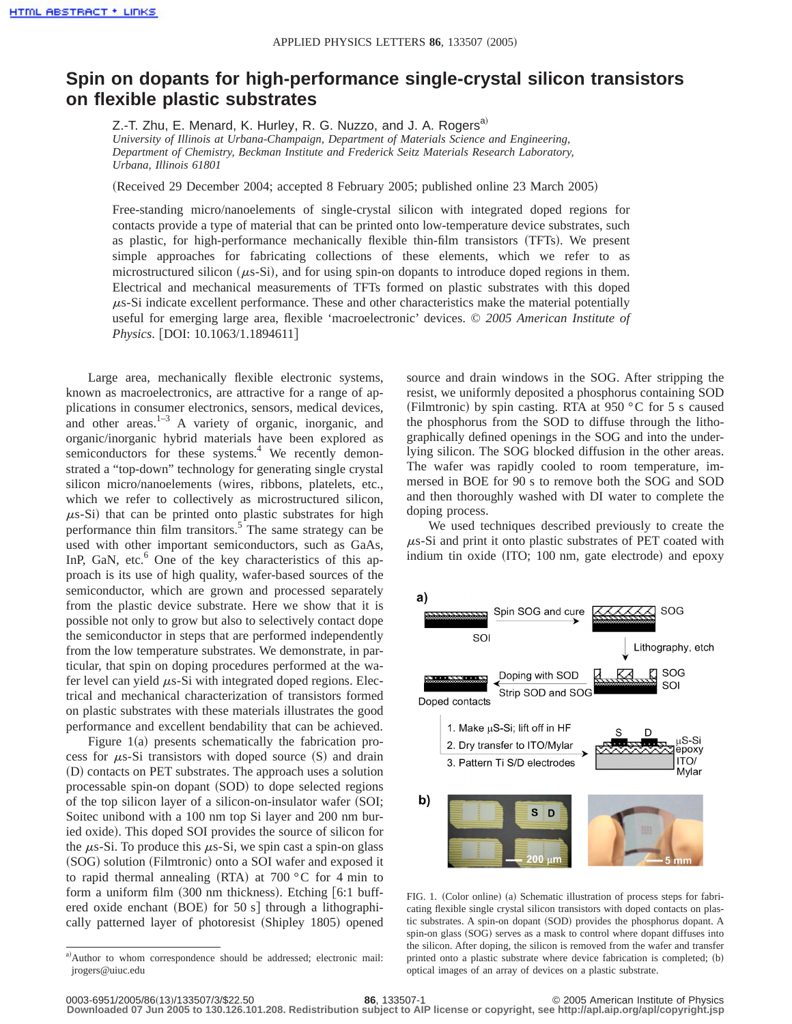## **Spin on dopants for high-performance single-crystal silicon transistors on flexible plastic substrates**

Z.-T. Zhu, E. Menard, K. Hurley, R. G. Nuzzo, and J. A. Rogers<sup>a)</sup> *University of Illinois at Urbana-Champaign, Department of Materials Science and Engineering, Department of Chemistry, Beckman Institute and Frederick Seitz Materials Research Laboratory, Urbana, Illinois 61801*

(Received 29 December 2004; accepted 8 February 2005; published online 23 March 2005)

Free-standing micro/nanoelements of single-crystal silicon with integrated doped regions for contacts provide a type of material that can be printed onto low-temperature device substrates, such as plastic, for high-performance mechanically flexible thin-film transistors (TFTs). We present simple approaches for fabricating collections of these elements, which we refer to as microstructured silicon  $(\mu s-Si)$ , and for using spin-on dopants to introduce doped regions in them. Electrical and mechanical measurements of TFTs formed on plastic substrates with this doped  $\mu$ s-Si indicate excellent performance. These and other characteristics make the material potentially useful for emerging large area, flexible 'macroelectronic' devices. © *2005 American Institute of Physics.* [DOI: 10.1063/1.1894611]

Large area, mechanically flexible electronic systems, known as macroelectronics, are attractive for a range of applications in consumer electronics, sensors, medical devices, and other areas. $1-3$  A variety of organic, inorganic, and organic/inorganic hybrid materials have been explored as semiconductors for these systems.<sup>4</sup> We recently demonstrated a "top-down" technology for generating single crystal silicon micro/nanoelements (wires, ribbons, platelets, etc., which we refer to collectively as microstructured silicon,  $\mu$ s-Si) that can be printed onto plastic substrates for high performance thin film transitors.<sup>5</sup> The same strategy can be used with other important semiconductors, such as GaAs, InP, GaN, etc. $<sup>6</sup>$  One of the key characteristics of this ap-</sup> proach is its use of high quality, wafer-based sources of the semiconductor, which are grown and processed separately from the plastic device substrate. Here we show that it is possible not only to grow but also to selectively contact dope the semiconductor in steps that are performed independently from the low temperature substrates. We demonstrate, in particular, that spin on doping procedures performed at the wafer level can yield  $\mu$ s-Si with integrated doped regions. Electrical and mechanical characterization of transistors formed on plastic substrates with these materials illustrates the good performance and excellent bendability that can be achieved.

Figure  $1(a)$  presents schematically the fabrication process for  $\mu$ s-Si transistors with doped source (S) and drain (D) contacts on PET substrates. The approach uses a solution processable spin-on dopant (SOD) to dope selected regions of the top silicon layer of a silicon-on-insulator wafer (SOI; Soitec unibond with a 100 nm top Si layer and 200 nm buried oxide). This doped SOI provides the source of silicon for the  $\mu$ s-Si. To produce this  $\mu$ s-Si, we spin cast a spin-on glass (SOG) solution (Filmtronic) onto a SOI wafer and exposed it to rapid thermal annealing (RTA) at 700  $\degree$ C for 4 min to form a uniform film  $(300 \text{ nm}$  thickness). Etching  $[6:1 \text{ buffer}]$ ered oxide enchant  $(BOE)$  for 50 s] through a lithographically patterned layer of photoresist (Shipley 1805) opened source and drain windows in the SOG. After stripping the resist, we uniformly deposited a phosphorus containing SOD (Filmtronic) by spin casting. RTA at 950  $\degree$ C for 5 s caused the phosphorus from the SOD to diffuse through the lithographically defined openings in the SOG and into the underlying silicon. The SOG blocked diffusion in the other areas. The wafer was rapidly cooled to room temperature, immersed in BOE for 90 s to remove both the SOG and SOD and then thoroughly washed with DI water to complete the doping process.

We used techniques described previously to create the  $\mu$ s-Si and print it onto plastic substrates of PET coated with indium tin oxide (ITO; 100 nm, gate electrode) and epoxy



FIG. 1. (Color online) (a) Schematic illustration of process steps for fabricating flexible single crystal silicon transistors with doped contacts on plastic substrates. A spin-on dopant (SOD) provides the phosphorus dopant. A spin-on glass (SOG) serves as a mask to control where dopant diffuses into the silicon. After doping, the silicon is removed from the wafer and transfer printed onto a plastic substrate where device fabrication is completed;  $(b)$ optical images of an array of devices on a plastic substrate.

a)Author to whom correspondence should be addressed; electronic mail: jrogers@uiuc.edu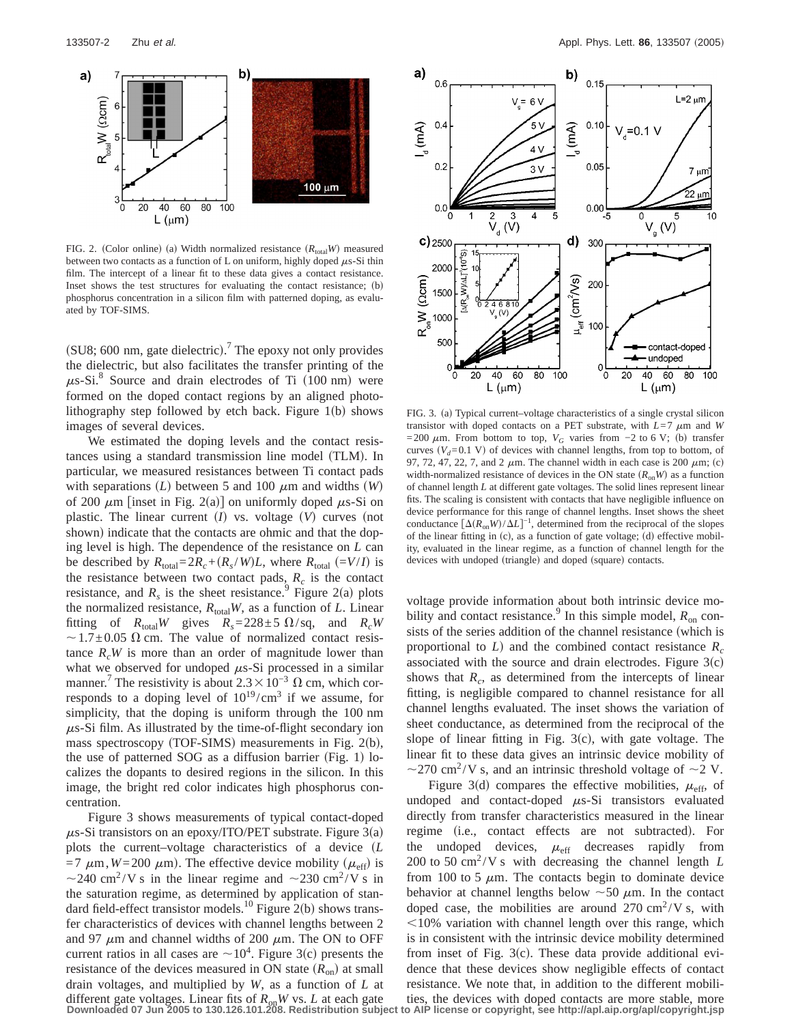

FIG. 2. (Color online) (a) Width normalized resistance  $(R_{total}W)$  measured between two contacts as a function of L on uniform, highly doped  $\mu$ s-Si thin film. The intercept of a linear fit to these data gives a contact resistance. Inset shows the test structures for evaluating the contact resistance;  $(b)$ phosphorus concentration in a silicon film with patterned doping, as evaluated by TOF-SIMS.

(SU8; 600 nm, gate dielectric).<sup>7</sup> The epoxy not only provides the dielectric, but also facilitates the transfer printing of the  $\mu$ s-Si.<sup>8</sup> Source and drain electrodes of Ti (100 nm) were formed on the doped contact regions by an aligned photolithography step followed by etch back. Figure  $1(b)$  shows images of several devices.

We estimated the doping levels and the contact resistances using a standard transmission line model (TLM). In particular, we measured resistances between Ti contact pads with separations  $(L)$  between 5 and 100  $\mu$ m and widths *(W)* of 200  $\mu$ m [inset in Fig. 2(a)] on uniformly doped  $\mu$ s-Si on plastic. The linear current  $(I)$  vs. voltage  $(V)$  curves (not shown) indicate that the contacts are ohmic and that the doping level is high. The dependence of the resistance on *L* can be described by  $R_{\text{total}} = 2R_c + (R_s/W)L$ , where  $R_{\text{total}} = (V/I)$  is the resistance between two contact pads,  $R_c$  is the contact resistance, and  $R_s$  is the sheet resistance.<sup>9</sup> Figure 2(a) plots the normalized resistance,  $R_{\text{total}}W$ , as a function of *L*. Linear fitting of  $R_{\text{total}}W$  gives  $R_s = 228 \pm 5 \Omega/sq$ , and  $R_cW$  $\sim$  1.7 $\pm$ 0.05  $\Omega$  cm. The value of normalized contact resistance  $R_cW$  is more than an order of magnitude lower than what we observed for undoped  $\mu$ s-Si processed in a similar manner.<sup>7</sup> The resistivity is about  $2.3 \times 10^{-3}$  Ω cm, which corresponds to a doping level of  $10^{19}/\text{cm}^3$  if we assume, for simplicity, that the doping is uniform through the 100 nm  $\mu$ s-Si film. As illustrated by the time-of-flight secondary ion mass spectroscopy (TOF-SIMS) measurements in Fig. 2(b), the use of patterned SOG as a diffusion barrier (Fig. 1) localizes the dopants to desired regions in the silicon. In this image, the bright red color indicates high phosphorus concentration.

Figure 3 shows measurements of typical contact-doped  $\mu$ s-Si transistors on an epoxy/ITO/PET substrate. Figure 3(a) plots the current–voltage characteristics of a device (L  $=7 \mu m$ ,  $W=200 \mu m$ ). The effective device mobility ( $\mu_{\text{eff}}$ ) is  $\sim$ 240 cm<sup>2</sup>/V s in the linear regime and  $\sim$ 230 cm<sup>2</sup>/V s in the saturation regime, as determined by application of standard field-effect transistor models.<sup>10</sup> Figure 2(b) shows transfer characteristics of devices with channel lengths between 2 and 97  $\mu$ m and channel widths of 200  $\mu$ m. The ON to OFF current ratios in all cases are  $\sim 10^4$ . Figure 3(c) presents the resistance of the devices measured in ON state  $(R_{on})$  at small drain voltages, and multiplied by *W*, as a function of *L* at different gate voltages. Linear fits of  $R_{on}W$  vs. L at each gate ties, the devices with doped contacts are more stable, more stable more stable and  $R_{on}W$  vs. L at each gate ties, the devices with doped contacts are mo



FIG. 3. (a) Typical current–voltage characteristics of a single crystal silicon transistor with doped contacts on a PET substrate, with  $L=7 \mu m$  and *W* =200  $\mu$ m. From bottom to top,  $V_G$  varies from −2 to 6 V; (b) transfer curves  $(V_d=0.1 \text{ V})$  of devices with channel lengths, from top to bottom, of 97, 72, 47, 22, 7, and 2  $\mu$ m. The channel width in each case is 200  $\mu$ m; (c) width-normalized resistance of devices in the ON state  $(R_{on}W)$  as a function of channel length *L* at different gate voltages. The solid lines represent linear fits. The scaling is consistent with contacts that have negligible influence on device performance for this range of channel lengths. Inset shows the sheet conductance  $\left[\Delta(R_{on}W)/\Delta L\right]^{-1}$ , determined from the reciprocal of the slopes of the linear fitting in  $(c)$ , as a function of gate voltage; (d) effective mobility, evaluated in the linear regime, as a function of channel length for the devices with undoped (triangle) and doped (square) contacts.

voltage provide information about both intrinsic device mobility and contact resistance.<sup>9</sup> In this simple model,  $R_{on}$  consists of the series addition of the channel resistance (which is proportional to  $L$ ) and the combined contact resistance  $R_c$ associated with the source and drain electrodes. Figure  $3(c)$ shows that  $R_c$ , as determined from the intercepts of linear fitting, is negligible compared to channel resistance for all channel lengths evaluated. The inset shows the variation of sheet conductance, as determined from the reciprocal of the slope of linear fitting in Fig.  $3(c)$ , with gate voltage. The linear fit to these data gives an intrinsic device mobility of  $\sim$ 270 cm<sup>2</sup>/V s, and an intrinsic threshold voltage of  $\sim$ 2 V.

Figure 3(d) compares the effective mobilities,  $\mu_{\text{eff}}$ , of undoped and contact-doped  $\mu$ s-Si transistors evaluated directly from transfer characteristics measured in the linear regime (i.e., contact effects are not subtracted). For the undoped devices,  $\mu_{\text{eff}}$  decreases rapidly from 200 to 50 cm<sup>2</sup>/V s with decreasing the channel length  $L$ from 100 to 5  $\mu$ m. The contacts begin to dominate device behavior at channel lengths below  $\sim$  50  $\mu$ m. In the contact doped case, the mobilities are around  $270 \text{ cm}^2/\text{V s}$ , with  $<$ 10% variation with channel length over this range, which is in consistent with the intrinsic device mobility determined from inset of Fig.  $3(c)$ . These data provide additional evidence that these devices show negligible effects of contact resistance. We note that, in addition to the different mobili-